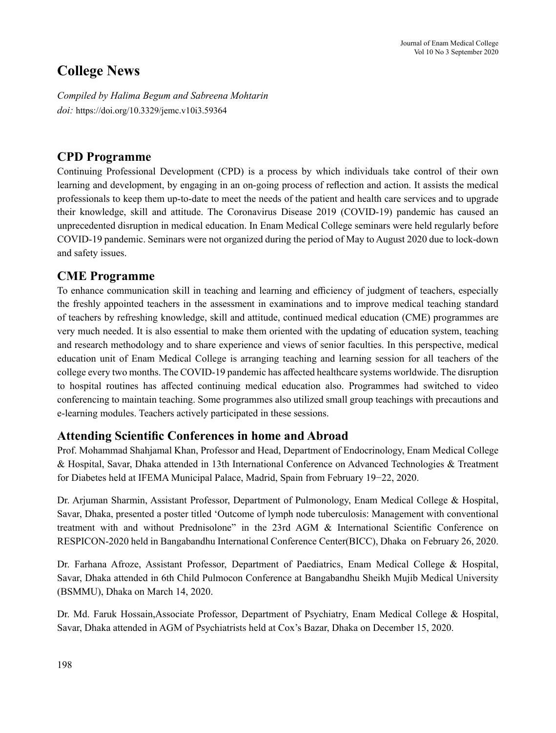# **College News**

*Compiled by Halima Begum and Sabreena Mohtarin doi:* https://doi.org/10.3329/jemc.v10i3.59364

### **CPD Programme**

Continuing Professional Development (CPD) is a process by which individuals take control of their own learning and development, by engaging in an on-going process of reflection and action. It assists the medical professionals to keep them up-to-date to meet the needs of the patient and health care services and to upgrade their knowledge, skill and attitude. The Coronavirus Disease 2019 (COVID-19) pandemic has caused an unprecedented disruption in medical education. In Enam Medical College seminars were held regularly before COVID-19 pandemic. Seminars were not organized during the period of May to August 2020 due to lock-down and safety issues.

#### **CME Programme**

To enhance communication skill in teaching and learning and efficiency of judgment of teachers, especially the freshly appointed teachers in the assessment in examinations and to improve medical teaching standard of teachers by refreshing knowledge, skill and attitude, continued medical education (CME) programmes are very much needed. It is also essential to make them oriented with the updating of education system, teaching and research methodology and to share experience and views of senior faculties. In this perspective, medical education unit of Enam Medical College is arranging teaching and learning session for all teachers of the college every two months. The COVID-19 pandemic has affected healthcare systems worldwide. The disruption to hospital routines has affected continuing medical education also. Programmes had switched to video conferencing to maintain teaching. Some programmes also utilized small group teachings with precautions and e-learning modules. Teachers actively participated in these sessions.

### **Attending Scientific Conferences in home and Abroad**

Prof. Mohammad Shahjamal Khan, Professor and Head, Department of Endocrinology, Enam Medical College & Hospital, Savar, Dhaka attended in 13th International Conference on Advanced Technologies & Treatment for Diabetes held at IFEMA Municipal Palace, Madrid, Spain from February 19−22, 2020.

Dr. Arjuman Sharmin, Assistant Professor, Department of Pulmonology, Enam Medical College & Hospital, Savar, Dhaka, presented a poster titled 'Outcome of lymph node tuberculosis: Management with conventional treatment with and without Prednisolone" in the 23rd AGM & International Scientific Conference on RESPICON-2020 held in Bangabandhu International Conference Center(BICC), Dhaka on February 26, 2020.

Dr. Farhana Afroze, Assistant Professor, Department of Paediatrics, Enam Medical College & Hospital, Savar, Dhaka attended in 6th Child Pulmocon Conference at Bangabandhu Sheikh Mujib Medical University (BSMMU), Dhaka on March 14, 2020.

Dr. Md. Faruk Hossain,Associate Professor, Department of Psychiatry, Enam Medical College & Hospital, Savar, Dhaka attended in AGM of Psychiatrists held at Cox's Bazar, Dhaka on December 15, 2020.